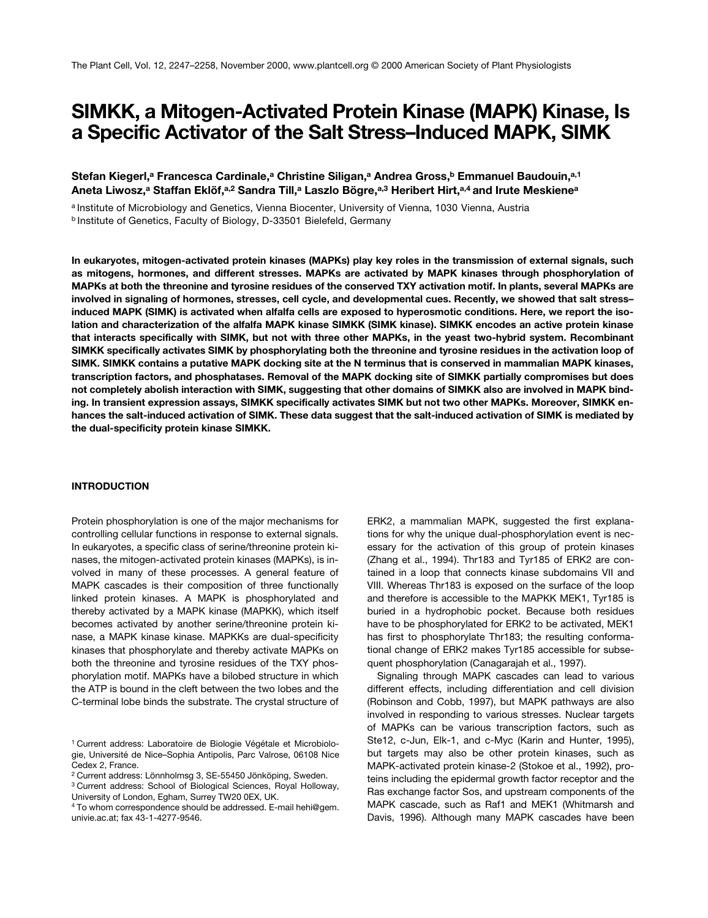# **SIMKK, a Mitogen-Activated Protein Kinase (MAPK) Kinase, Is a Specific Activator of the Salt Stress–Induced MAPK, SIMK**

## Stefan Kiegerl,<sup>a</sup> Francesca Cardinale,<sup>a</sup> Christine Siligan,<sup>a</sup> Andrea Gross,<sup>b</sup> Emmanuel Baudouin,<sup>a,1</sup> Aneta Liwosz,<sup>a</sup> Staffan Eklöf,<sup>a,2</sup> Sandra Till,<sup>a</sup> Laszlo Bögre,<sup>a,3</sup> Heribert Hirt,<sup>a,4</sup> and Irute Meskiene<sup>a</sup>

a Institute of Microbiology and Genetics, Vienna Biocenter, University of Vienna, 1030 Vienna, Austria <sup>b</sup> Institute of Genetics, Faculty of Biology, D-33501 Bielefeld, Germany

**In eukaryotes, mitogen-activated protein kinases (MAPKs) play key roles in the transmission of external signals, such as mitogens, hormones, and different stresses. MAPKs are activated by MAPK kinases through phosphorylation of MAPKs at both the threonine and tyrosine residues of the conserved TXY activation motif. In plants, several MAPKs are involved in signaling of hormones, stresses, cell cycle, and developmental cues. Recently, we showed that salt stress– induced MAPK (SIMK) is activated when alfalfa cells are exposed to hyperosmotic conditions. Here, we report the isolation and characterization of the alfalfa MAPK kinase SIMKK (SIMK kinase). SIMKK encodes an active protein kinase that interacts specifically with SIMK, but not with three other MAPKs, in the yeast two-hybrid system. Recombinant SIMKK specifically activates SIMK by phosphorylating both the threonine and tyrosine residues in the activation loop of SIMK. SIMKK contains a putative MAPK docking site at the N terminus that is conserved in mammalian MAPK kinases, transcription factors, and phosphatases. Removal of the MAPK docking site of SIMKK partially compromises but does not completely abolish interaction with SIMK, suggesting that other domains of SIMKK also are involved in MAPK binding. In transient expression assays, SIMKK specifically activates SIMK but not two other MAPKs. Moreover, SIMKK enhances the salt-induced activation of SIMK. These data suggest that the salt-induced activation of SIMK is mediated by the dual-specificity protein kinase SIMKK.**

#### **INTRODUCTION**

Protein phosphorylation is one of the major mechanisms for controlling cellular functions in response to external signals. In eukaryotes, a specific class of serine/threonine protein kinases, the mitogen-activated protein kinases (MAPKs), is involved in many of these processes. A general feature of MAPK cascades is their composition of three functionally linked protein kinases. A MAPK is phosphorylated and thereby activated by a MAPK kinase (MAPKK), which itself becomes activated by another serine/threonine protein kinase, a MAPK kinase kinase. MAPKKs are dual-specificity kinases that phosphorylate and thereby activate MAPKs on both the threonine and tyrosine residues of the TXY phosphorylation motif. MAPKs have a bilobed structure in which the ATP is bound in the cleft between the two lobes and the C-terminal lobe binds the substrate. The crystal structure of ERK2, a mammalian MAPK, suggested the first explanations for why the unique dual-phosphorylation event is necessary for the activation of this group of protein kinases (Zhang et al., 1994). Thr183 and Tyr185 of ERK2 are contained in a loop that connects kinase subdomains VII and VIII. Whereas Thr183 is exposed on the surface of the loop and therefore is accessible to the MAPKK MEK1, Tyr185 is buried in a hydrophobic pocket. Because both residues have to be phosphorylated for ERK2 to be activated, MEK1 has first to phosphorylate Thr183; the resulting conformational change of ERK2 makes Tyr185 accessible for subsequent phosphorylation (Canagarajah et al., 1997).

Signaling through MAPK cascades can lead to various different effects, including differentiation and cell division (Robinson and Cobb, 1997), but MAPK pathways are also involved in responding to various stresses. Nuclear targets of MAPKs can be various transcription factors, such as Ste12, c-Jun, Elk-1, and c-Myc (Karin and Hunter, 1995), but targets may also be other protein kinases, such as MAPK-activated protein kinase-2 (Stokoe et al., 1992), proteins including the epidermal growth factor receptor and the Ras exchange factor Sos, and upstream components of the MAPK cascade, such as Raf1 and MEK1 (Whitmarsh and Davis, 1996). Although many MAPK cascades have been

<sup>1</sup> Current address: Laboratoire de Biologie Végétale et Microbiologie, Université de Nice–Sophia Antipolis, Parc Valrose, 06108 Nice Cedex 2, France.

<sup>2</sup> Current address: Lönnholmsg 3, SE-55450 Jönköping, Sweden.

<sup>3</sup> Current address: School of Biological Sciences, Royal Holloway, University of London, Egham, Surrey TW20 0EX, UK.

<sup>4</sup> To whom correspondence should be addressed. E-mail hehi@gem. univie.ac.at; fax 43-1-4277-9546.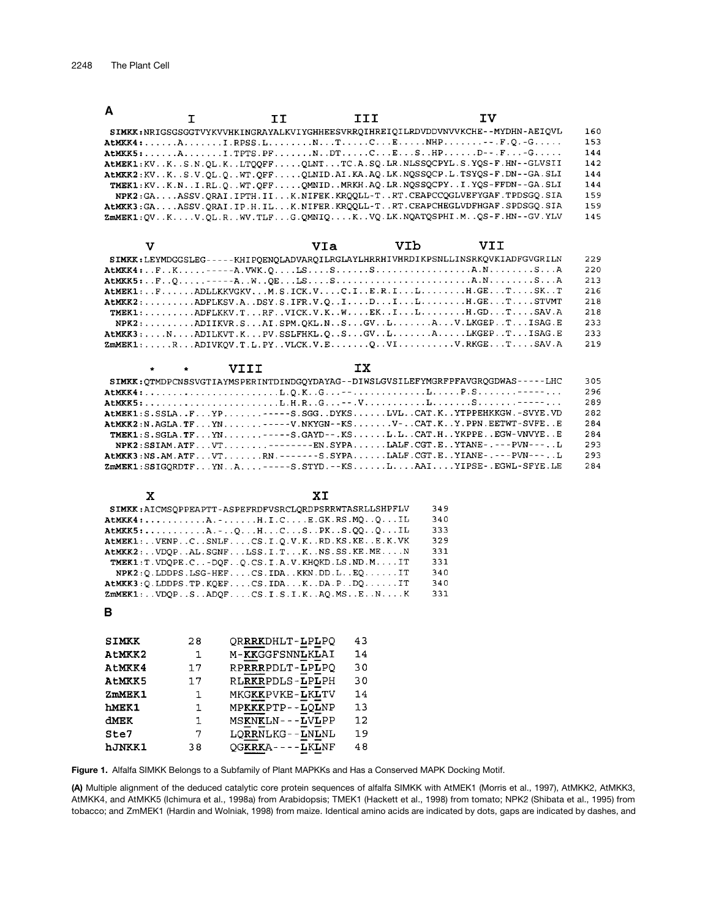$\mathbf{A}$ 

| <b>.</b> | Ι                  | TТ   | III        |     | τv                                                                                                 |     |
|----------|--------------------|------|------------|-----|----------------------------------------------------------------------------------------------------|-----|
|          |                    |      |            |     | SIMKK:NRIGSGSGGTVYKVVHKINGRAYALKVIYGHHEESVRRQIHREIQILRDVDDVNVVKCHE--MYDHN-AEIQVL                   | 160 |
|          |                    |      |            |     | AtMKK4: A. I.RPSS.LNTCENHP---F.Q.-G                                                                | 153 |
|          |                    |      |            |     | AtMKK5: AI.TPTS.PFNDTCESHPD--.F-G                                                                  | 144 |
|          |                    |      |            |     | AtMEK1: KV. . K. . S. N. QL. K. . LTQQFF QLNT TC. A. SQ. LR. NLSSQCPYL. S. YQS-F. HN--GLVSII       | 142 |
|          |                    |      |            |     | AtMKK2: KV. . K. . S. V. QL. Q. . WT. QFF. QLNID. AI. KA. AQ. LK. NQSSQCP. L. TSYQS-F. DN--GA. SLI | 144 |
|          |                    |      |            |     | TMEK1:KV. . K.N. . I.RL.Q. . WT.QFF . QMNID. . MRKH. AQ. LR. NQSSQCPY. . I. YQS-FFDN--GA. SLI      | 144 |
|          |                    |      |            |     | NPK2:GAASSV.QRAI.IPTH.IIK.NIFEK.KRQQLL-TRT.CEAPCCQGLVEFYGAF.TPDSGO.SIA                             | 159 |
|          |                    |      |            |     | AtMKK3:GAASSV.QRAI.IP.H.ILK.NIFER.KRQQLL-TRT.CEAPCHEGLVDFHGAF.SPDSGQ.SIA                           | 159 |
|          |                    |      |            |     | ZmMEK1:QV. .KV.QL.R. .WV.TLFG.QMNIQK. .VQ.LK.NQATQSPHI.M. .QS-F.HN--GV.YLV                         | 145 |
|          |                    |      |            |     |                                                                                                    |     |
|          | $\mathbf{v}$       |      | <b>VIa</b> | VIb | VII                                                                                                |     |
|          |                    |      |            |     | SIMKK:LEYMDGGSLEG-----KHIPOENOLADVAROILRGLAYLHRRHIVHRDIKPSNLLINSRKQVKIADFGVGRILN                   | 229 |
|          |                    |      |            |     |                                                                                                    | 220 |
|          |                    |      |            |     |                                                                                                    | 213 |
|          |                    |      |            |     | ALMEK1:FADLLKKVGKVM.S.ICK.VC.IE.R.ILH.GETSKT                                                       | 216 |
|          |                    |      |            |     | AtMKK2: ADFLKSV.ADSY.S.IFR.V.QIDILH.GETSTVMT                                                       | 218 |
|          |                    |      |            |     | TMEK1:ADFLKKV.TRFVICK.V.KWEKILH.GDTSAV.A                                                           | 218 |
|          |                    |      |            |     | NPK2: ADIIKVR.SAI.SPM.QKL.NSGVLAV.LKGEPTISAG.E                                                     | 233 |
|          |                    |      |            |     | AtMKK3:NADILKVT.KPV.SSLFHKL.QSGVLALKGEPTISAG.E                                                     | 233 |
|          |                    |      |            |     | $ZmMEK1:$ RADIVKOV.T.L.PYVLCK.V.EQVIV.RKGETSAV.A                                                   | 219 |
|          |                    |      |            |     |                                                                                                    |     |
|          | $\star$<br>$\star$ | VIII | <b>TX</b>  |     |                                                                                                    |     |
|          |                    |      |            |     | SIMKK: QTMDPCNSSVGTIAYMSPERINTDINDGQYDAYAG--DIWSLGVSILEFYMGRFPFAVGRQGDWAS-----LHC                  | 305 |
|          |                    |      |            |     |                                                                                                    | 296 |
|          |                    |      |            |     |                                                                                                    | 289 |
|          |                    |      |            |     | AtMEK1: S.SSLAFYP----S.SGGDYKSLVLCAT.KYTPPEHKKGW.-SVYE.VD                                          | 282 |
|          |                    |      |            |     | AtMKK2:N.AGLA.TFYN-----V.NKYGN--KSV-CAT.KY.PPN.EETWT-SVFEE                                         | 284 |
|          |                    |      |            |     | TMEK1: S. SGLA.TF YN-----S. GAYD--.KSL.LCAT.HYKPPEEGW-VNVYEE                                       | 284 |
|          |                    |      |            |     | NPK2:SSIAM.ATFVT------EN.SYPALALF.CGT.EYTANE-.---PVN---L                                           | 293 |
|          |                    |      |            |     | AtMKK3:NS.AM.ATFVTRN.------S.SYPALALF.CGT.EYIANE-.---PVN---L                                       | 293 |
|          |                    |      |            |     | $ZmMEX1:SSIGORDTFYNA---S.STYD---KSLAAIYIPSE-.EGWL-SFYE.LE$                                         | 284 |
|          |                    |      |            |     |                                                                                                    |     |

| 349<br>SIMKK: AICMSOPPEAPTT-ASPEFRDFVSRCLORDPSRRWTASRLLSHPFLV<br>340                   |
|----------------------------------------------------------------------------------------|
|                                                                                        |
| $AtMKK4:\ldots:\ldots:A.-\ldots:H,I.C\ldots.E.GK.RS.MQ\ldots Q\ldots IL$               |
| 333<br>$AtMKK5:\ldots:\ldots:A.-.QHCSPKS.QQQIL$                                        |
| 329<br>$AtMER1:  VERP. .C. SNLF.CS. I. Q.V.K. .RD. KS. KE. .E.K.VK$                    |
| 331<br>$AtMKK2: VDOP. . AL. SGNF. LSS. I. T. K. . NS. SS. KE. ME. N$                   |
| 331<br>TMEK1: T.VDOPE.C-DOFO.CS.I.A.V.KHOKD.LS.ND.MIT                                  |
| 340<br>$NPK2:0.LDDPS.LSG-HEFCS.IDAKKN.DD.LEOII$                                        |
| 340<br>$AtMKK3:$ O. LDDPS. TP. KOEF, CS. IDAK DA.PDQ IT                                |
| 331<br>$ZmMEK1:$ $VDOP.$ $S.$ . $ADOF.$ $CS.$ I. $S.$ I.K $AO.$ M $S.$ . $E.$ $N.$ $K$ |

## $\overline{\mathbf{B}}$

| <b>SIMKK</b>  | 28 | ORRRKDHLT-LPLPO | 43 |
|---------------|----|-----------------|----|
| <b>AtMKK2</b> | 1  | M-KKGGFSNNLKLAI | 14 |
| <b>AtMKK4</b> | 17 | RPRRRPDLT-LPLPO | 30 |
| <b>AtMKK5</b> | 17 | RLRKRPDLS-LPLPH | 30 |
| ZmMEK1        | 1  | MKGKKPVKE-LKLTV | 14 |
| <b>hMEK1</b>  | 1  | MPKKKPTP--LOLNP | 13 |
| dmek          | 1  | MSKNKLN---LVLPP | 12 |
| Ste7          | 7  | LORRNLKG--LNLNL | 19 |
| hJNKK1        | 38 | OGKRKA----LKLNF | 48 |

**Figure 1.** Alfalfa SIMKK Belongs to a Subfamily of Plant MAPKKs and Has a Conserved MAPK Docking Motif.

**(A)** Multiple alignment of the deduced catalytic core protein sequences of alfalfa SIMKK with AtMEK1 (Morris et al., 1997), AtMKK2, AtMKK3, AtMKK4, and AtMKK5 (Ichimura et al., 1998a) from Arabidopsis; TMEK1 (Hackett et al., 1998) from tomato; NPK2 (Shibata et al., 1995) from tobacco; and ZmMEK1 (Hardin and Wolniak, 1998) from maize. Identical amino acids are indicated by dots, gaps are indicated by dashes, and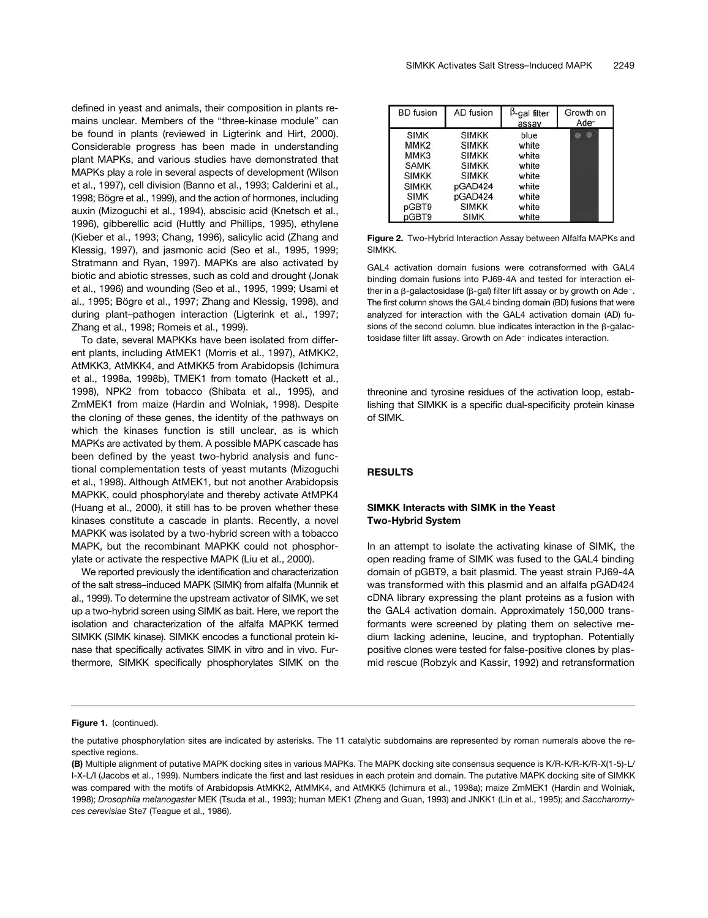defined in yeast and animals, their composition in plants remains unclear. Members of the "three-kinase module" can be found in plants (reviewed in Ligterink and Hirt, 2000). Considerable progress has been made in understanding plant MAPKs, and various studies have demonstrated that MAPKs play a role in several aspects of development (Wilson et al., 1997), cell division (Banno et al., 1993; Calderini et al., 1998; Bögre et al., 1999), and the action of hormones, including auxin (Mizoguchi et al., 1994), abscisic acid (Knetsch et al., 1996), gibberellic acid (Huttly and Phillips, 1995), ethylene (Kieber et al., 1993; Chang, 1996), salicylic acid (Zhang and Klessig, 1997), and jasmonic acid (Seo et al., 1995, 1999; Stratmann and Ryan, 1997). MAPKs are also activated by biotic and abiotic stresses, such as cold and drought (Jonak et al., 1996) and wounding (Seo et al., 1995, 1999; Usami et al., 1995; Bögre et al., 1997; Zhang and Klessig, 1998), and during plant–pathogen interaction (Ligterink et al., 1997; Zhang et al., 1998; Romeis et al., 1999).

To date, several MAPKKs have been isolated from different plants, including AtMEK1 (Morris et al., 1997), AtMKK2, AtMKK3, AtMKK4, and AtMKK5 from Arabidopsis (Ichimura et al., 1998a, 1998b), TMEK1 from tomato (Hackett et al., 1998), NPK2 from tobacco (Shibata et al., 1995), and ZmMEK1 from maize (Hardin and Wolniak, 1998). Despite the cloning of these genes, the identity of the pathways on which the kinases function is still unclear, as is which MAPKs are activated by them. A possible MAPK cascade has been defined by the yeast two-hybrid analysis and functional complementation tests of yeast mutants (Mizoguchi et al., 1998). Although AtMEK1, but not another Arabidopsis MAPKK, could phosphorylate and thereby activate AtMPK4 (Huang et al., 2000), it still has to be proven whether these kinases constitute a cascade in plants. Recently, a novel MAPKK was isolated by a two-hybrid screen with a tobacco MAPK, but the recombinant MAPKK could not phosphorylate or activate the respective MAPK (Liu et al., 2000).

We reported previously the identification and characterization of the salt stress–induced MAPK (SIMK) from alfalfa (Munnik et al., 1999). To determine the upstream activator of SIMK, we set up a two-hybrid screen using SIMK as bait. Here, we report the isolation and characterization of the alfalfa MAPKK termed SIMKK (SIMK kinase). SIMKK encodes a functional protein kinase that specifically activates SIMK in vitro and in vivo. Furthermore, SIMKK specifically phosphorylates SIMK on the

| <b>BD</b> fusion | AD fusion    | $\beta$ -gal filter<br>assay | Growth on<br>Ade- |
|------------------|--------------|------------------------------|-------------------|
| <b>SIMK</b>      | <b>SIMKK</b> | blue                         |                   |
| MMK2             | <b>SIMKK</b> | white                        |                   |
| MMK3             | <b>SIMKK</b> | white                        |                   |
| <b>SAMK</b>      | <b>SIMKK</b> | white                        |                   |
| <b>SIMKK</b>     | <b>SIMKK</b> | white                        |                   |
| <b>SIMKK</b>     | pGAD424      | white                        |                   |
| <b>SIMK</b>      | pGAD424      | white                        |                   |
| pGBT9            | <b>SIMKK</b> | white                        |                   |
| pGBT9            | <b>SIMK</b>  | white                        |                   |

**Figure 2.** Two-Hybrid Interaction Assay between Alfalfa MAPKs and SIMKK.

GAL4 activation domain fusions were cotransformed with GAL4 binding domain fusions into PJ69-4A and tested for interaction either in a  $\beta$ -galactosidase ( $\beta$ -gal) filter lift assay or by growth on Ade<sup>-</sup>. The first column shows the GAL4 binding domain (BD) fusions that were analyzed for interaction with the GAL4 activation domain (AD) fusions of the second column. blue indicates interaction in the  $\beta$ -galactosidase filter lift assay. Growth on Ade<sup>-</sup> indicates interaction.

threonine and tyrosine residues of the activation loop, establishing that SIMKK is a specific dual-specificity protein kinase of SIMK.

## **RESULTS**

## **SIMKK Interacts with SIMK in the Yeast Two-Hybrid System**

In an attempt to isolate the activating kinase of SIMK, the open reading frame of SIMK was fused to the GAL4 binding domain of pGBT9, a bait plasmid. The yeast strain PJ69-4A was transformed with this plasmid and an alfalfa pGAD424 cDNA library expressing the plant proteins as a fusion with the GAL4 activation domain. Approximately 150,000 transformants were screened by plating them on selective medium lacking adenine, leucine, and tryptophan. Potentially positive clones were tested for false-positive clones by plasmid rescue (Robzyk and Kassir, 1992) and retransformation

#### **Figure 1.** (continued).

the putative phosphorylation sites are indicated by asterisks. The 11 catalytic subdomains are represented by roman numerals above the respective regions.

**<sup>(</sup>B)** Multiple alignment of putative MAPK docking sites in various MAPKs. The MAPK docking site consensus sequence is K/R-K/R-K/R-X(1-5)-L/ I-X-L/I (Jacobs et al., 1999). Numbers indicate the first and last residues in each protein and domain. The putative MAPK docking site of SIMKK was compared with the motifs of Arabidopsis AtMKK2, AtMMK4, and AtMKK5 (Ichimura et al., 1998a); maize ZmMEK1 (Hardin and Wolniak, 1998); *Drosophila melanogaster* MEK (Tsuda et al., 1993); human MEK1 (Zheng and Guan, 1993) and JNKK1 (Lin et al., 1995); and *Saccharomyces cerevisiae* Ste7 (Teague et al., 1986).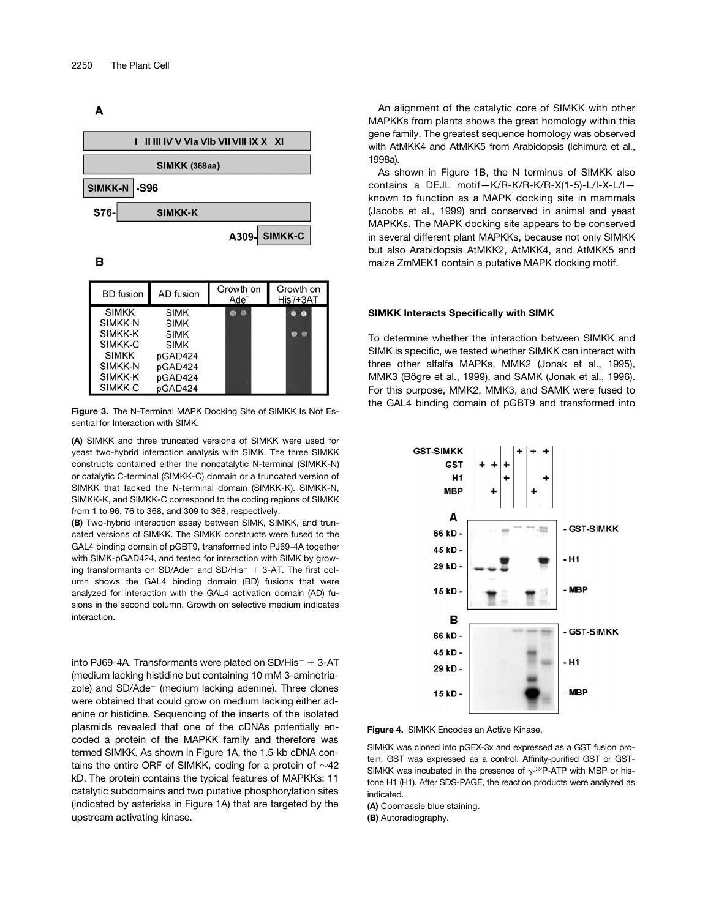

| <b>BD</b> fusion | AD fusion   | Growth on<br>Ade <sup>-</sup> | Growth on<br>$His7+3AT$ |
|------------------|-------------|-------------------------------|-------------------------|
| <b>SIMKK</b>     | <b>SIMK</b> | $\circ$                       | $\bullet$ $\bullet$     |
| SIMKK-N          | <b>SIMK</b> |                               |                         |
| SIMKK-K          | <b>SIMK</b> |                               |                         |
| SIMKK-C          | <b>SIMK</b> |                               |                         |
| <b>SIMKK</b>     | pGAD424     |                               |                         |
| SIMKK-N          | pGAD424     |                               |                         |
| SIMKK-K          | pGAD424     |                               |                         |
| SIMKK-C          | pGAD424     |                               |                         |

sential for Interaction with SIMK.

**(A)** SIMKK and three truncated versions of SIMKK were used for yeast two-hybrid interaction analysis with SIMK. The three SIMKK constructs contained either the noncatalytic N-terminal (SIMKK-N) or catalytic C-terminal (SIMKK-C) domain or a truncated version of SIMKK that lacked the N-terminal domain (SIMKK-K). SIMKK-N, SIMKK-K, and SIMKK-C correspond to the coding regions of SIMKK from 1 to 96, 76 to 368, and 309 to 368, respectively.

**(B)** Two-hybrid interaction assay between SIMK, SIMKK, and truncated versions of SIMKK. The SIMKK constructs were fused to the GAL4 binding domain of pGBT9, transformed into PJ69-4A together with SIMK-pGAD424, and tested for interaction with SIMK by growing transformants on SD/Ade<sup>-</sup> and SD/His<sup>-</sup> + 3-AT. The first column shows the GAL4 binding domain (BD) fusions that were analyzed for interaction with the GAL4 activation domain (AD) fusions in the second column. Growth on selective medium indicates interaction.

into PJ69-4A. Transformants were plated on  $SD/H$ is<sup>-</sup> + 3-AT (medium lacking histidine but containing 10 mM 3-aminotriazole) and SD/Ade<sup>-</sup> (medium lacking adenine). Three clones were obtained that could grow on medium lacking either adenine or histidine. Sequencing of the inserts of the isolated plasmids revealed that one of the cDNAs potentially encoded a protein of the MAPKK family and therefore was termed SIMKK. As shown in Figure 1A, the 1.5-kb cDNA contains the entire ORF of SIMKK, coding for a protein of  $\sim$ 42 kD. The protein contains the typical features of MAPKKs: 11 catalytic subdomains and two putative phosphorylation sites (indicated by asterisks in Figure 1A) that are targeted by the upstream activating kinase.

An alignment of the catalytic core of SIMKK with other MAPKKs from plants shows the great homology within this gene family. The greatest sequence homology was observed with AtMKK4 and AtMKK5 from Arabidopsis (Ichimura et al., 1998a).

As shown in Figure 1B, the N terminus of SIMKK also contains a DEJL motif—K/R-K/R-K/R-X(1-5)-L/I-X-L/I known to function as a MAPK docking site in mammals (Jacobs et al., 1999) and conserved in animal and yeast MAPKKs. The MAPK docking site appears to be conserved in several different plant MAPKKs, because not only SIMKK but also Arabidopsis AtMKK2, AtMKK4, and AtMKK5 and maize ZmMEK1 contain a putative MAPK docking motif.

#### **SIMKK Interacts Specifically with SIMK**

To determine whether the interaction between SIMKK and SIMK is specific, we tested whether SIMKK can interact with three other alfalfa MAPKs, MMK2 (Jonak et al., 1995), MMK3 (Bögre et al., 1999), and SAMK (Jonak et al., 1996). For this purpose, MMK2, MMK3, and SAMK were fused to the GAL4 binding domain of pGBT9 and transformed into **Figure 3.** The N-Terminal MAPK Docking Site of SIMKK Is Not Es-



**Figure 4.** SIMKK Encodes an Active Kinase.

SIMKK was cloned into pGEX-3x and expressed as a GST fusion protein. GST was expressed as a control. Affinity-purified GST or GST-SIMKK was incubated in the presence of  $\gamma$ -3<sup>2</sup>P-ATP with MBP or histone H1 (H1). After SDS-PAGE, the reaction products were analyzed as indicated.

**(A)** Coomassie blue staining.

**(B)** Autoradiography.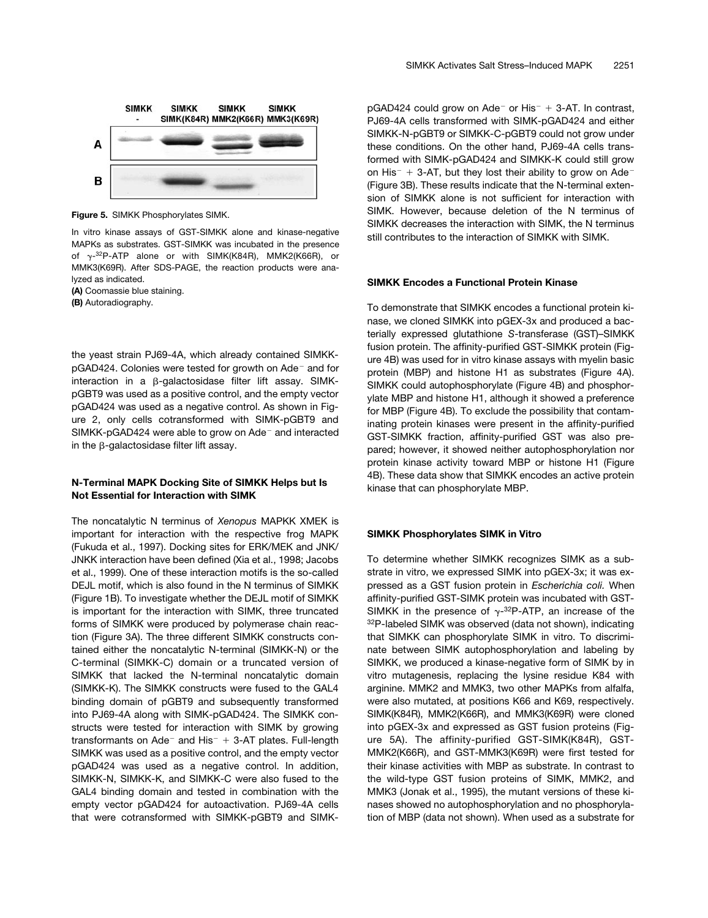

**Figure 5.** SIMKK Phosphorylates SIMK.

In vitro kinase assays of GST-SIMKK alone and kinase-negative MAPKs as substrates. GST-SIMKK was incubated in the presence of  $\gamma$ -32P-ATP alone or with SIMK(K84R), MMK2(K66R), or MMK3(K69R). After SDS-PAGE, the reaction products were analyzed as indicated.

**(A)** Coomassie blue staining.

**(B)** Autoradiography.

the yeast strain PJ69-4A, which already contained SIMKK $p$ GAD424. Colonies were tested for growth on Ade<sup>-</sup> and for interaction in a  $\beta$ -galactosidase filter lift assay. SIMKpGBT9 was used as a positive control, and the empty vector pGAD424 was used as a negative control. As shown in Figure 2, only cells cotransformed with SIMK-pGBT9 and SIMKK-pGAD424 were able to grow on Ade<sup>-</sup> and interacted in the  $\beta$ -galactosidase filter lift assay.

## **N-Terminal MAPK Docking Site of SIMKK Helps but Is Not Essential for Interaction with SIMK**

The noncatalytic N terminus of *Xenopus* MAPKK XMEK is important for interaction with the respective frog MAPK (Fukuda et al., 1997). Docking sites for ERK/MEK and JNK/ JNKK interaction have been defined (Xia et al., 1998; Jacobs et al., 1999). One of these interaction motifs is the so-called DEJL motif, which is also found in the N terminus of SIMKK (Figure 1B). To investigate whether the DEJL motif of SIMKK is important for the interaction with SIMK, three truncated forms of SIMKK were produced by polymerase chain reaction (Figure 3A). The three different SIMKK constructs contained either the noncatalytic N-terminal (SIMKK-N) or the C-terminal (SIMKK-C) domain or a truncated version of SIMKK that lacked the N-terminal noncatalytic domain (SIMKK-K). The SIMKK constructs were fused to the GAL4 binding domain of pGBT9 and subsequently transformed into PJ69-4A along with SIMK-pGAD424. The SIMKK constructs were tested for interaction with SIMK by growing transformants on Ade<sup>-</sup> and His<sup>-</sup> + 3-AT plates. Full-length SIMKK was used as a positive control, and the empty vector pGAD424 was used as a negative control. In addition, SIMKK-N, SIMKK-K, and SIMKK-C were also fused to the GAL4 binding domain and tested in combination with the empty vector pGAD424 for autoactivation. PJ69-4A cells that were cotransformed with SIMKK-pGBT9 and SIMK-

 $pGAD424$  could grow on Ade<sup>-</sup> or His<sup>-</sup> + 3-AT. In contrast, PJ69-4A cells transformed with SIMK-pGAD424 and either SIMKK-N-pGBT9 or SIMKK-C-pGBT9 could not grow under these conditions. On the other hand, PJ69-4A cells transformed with SIMK-pGAD424 and SIMKK-K could still grow on His<sup>-</sup> + 3-AT, but they lost their ability to grow on Ade<sup>-</sup> (Figure 3B). These results indicate that the N-terminal extension of SIMKK alone is not sufficient for interaction with SIMK. However, because deletion of the N terminus of SIMKK decreases the interaction with SIMK, the N terminus still contributes to the interaction of SIMKK with SIMK.

#### **SIMKK Encodes a Functional Protein Kinase**

To demonstrate that SIMKK encodes a functional protein kinase, we cloned SIMKK into pGEX-3x and produced a bacterially expressed glutathione *S*-transferase (GST)–SIMKK fusion protein. The affinity-purified GST-SIMKK protein (Figure 4B) was used for in vitro kinase assays with myelin basic protein (MBP) and histone H1 as substrates (Figure 4A). SIMKK could autophosphorylate (Figure 4B) and phosphorylate MBP and histone H1, although it showed a preference for MBP (Figure 4B). To exclude the possibility that contaminating protein kinases were present in the affinity-purified GST-SIMKK fraction, affinity-purified GST was also prepared; however, it showed neither autophosphorylation nor protein kinase activity toward MBP or histone H1 (Figure 4B). These data show that SIMKK encodes an active protein kinase that can phosphorylate MBP.

#### **SIMKK Phosphorylates SIMK in Vitro**

To determine whether SIMKK recognizes SIMK as a substrate in vitro, we expressed SIMK into pGEX-3x; it was expressed as a GST fusion protein in *Escherichia coli.* When affinity-purified GST-SIMK protein was incubated with GST-SIMKK in the presence of  $\gamma$ -3<sup>2</sup>P-ATP, an increase of the 32P-labeled SIMK was observed (data not shown), indicating that SIMKK can phosphorylate SIMK in vitro. To discriminate between SIMK autophosphorylation and labeling by SIMKK, we produced a kinase-negative form of SIMK by in vitro mutagenesis, replacing the lysine residue K84 with arginine. MMK2 and MMK3, two other MAPKs from alfalfa, were also mutated, at positions K66 and K69, respectively. SIMK(K84R), MMK2(K66R), and MMK3(K69R) were cloned into pGEX-3x and expressed as GST fusion proteins (Figure 5A). The affinity-purified GST-SIMK(K84R), GST-MMK2(K66R), and GST-MMK3(K69R) were first tested for their kinase activities with MBP as substrate. In contrast to the wild-type GST fusion proteins of SIMK, MMK2, and MMK3 (Jonak et al., 1995), the mutant versions of these kinases showed no autophosphorylation and no phosphorylation of MBP (data not shown). When used as a substrate for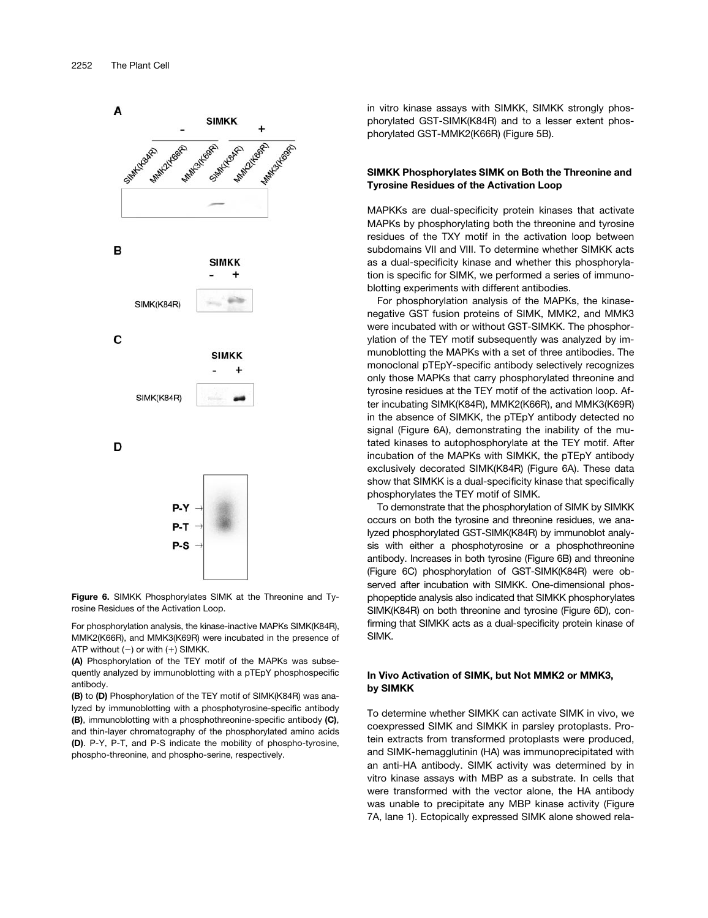

**Figure 6.** SIMKK Phosphorylates SIMK at the Threonine and Tyrosine Residues of the Activation Loop.

For phosphorylation analysis, the kinase-inactive MAPKs SIMK(K84R), MMK2(K66R), and MMK3(K69R) were incubated in the presence of ATP without  $(-)$  or with  $(+)$  SIMKK.

**(A)** Phosphorylation of the TEY motif of the MAPKs was subsequently analyzed by immunoblotting with a pTEpY phosphospecific antibody.

**(B)** to **(D)** Phosphorylation of the TEY motif of SIMK(K84R) was analyzed by immunoblotting with a phosphotyrosine-specific antibody **(B)**, immunoblotting with a phosphothreonine-specific antibody **(C)**, and thin-layer chromatography of the phosphorylated amino acids **(D)**. P-Y, P-T, and P-S indicate the mobility of phospho-tyrosine, phospho-threonine, and phospho-serine, respectively.

in vitro kinase assays with SIMKK, SIMKK strongly phosphorylated GST-SIMK(K84R) and to a lesser extent phosphorylated GST-MMK2(K66R) (Figure 5B).

## **SIMKK Phosphorylates SIMK on Both the Threonine and Tyrosine Residues of the Activation Loop**

MAPKKs are dual-specificity protein kinases that activate MAPKs by phosphorylating both the threonine and tyrosine residues of the TXY motif in the activation loop between subdomains VII and VIII. To determine whether SIMKK acts as a dual-specificity kinase and whether this phosphorylation is specific for SIMK, we performed a series of immunoblotting experiments with different antibodies.

For phosphorylation analysis of the MAPKs, the kinasenegative GST fusion proteins of SIMK, MMK2, and MMK3 were incubated with or without GST-SIMKK. The phosphorylation of the TEY motif subsequently was analyzed by immunoblotting the MAPKs with a set of three antibodies. The monoclonal pTEpY-specific antibody selectively recognizes only those MAPKs that carry phosphorylated threonine and tyrosine residues at the TEY motif of the activation loop. After incubating SIMK(K84R), MMK2(K66R), and MMK3(K69R) in the absence of SIMKK, the pTEpY antibody detected no signal (Figure 6A), demonstrating the inability of the mutated kinases to autophosphorylate at the TEY motif. After incubation of the MAPKs with SIMKK, the pTEpY antibody exclusively decorated SIMK(K84R) (Figure 6A). These data show that SIMKK is a dual-specificity kinase that specifically phosphorylates the TEY motif of SIMK.

To demonstrate that the phosphorylation of SIMK by SIMKK occurs on both the tyrosine and threonine residues, we analyzed phosphorylated GST-SIMK(K84R) by immunoblot analysis with either a phosphotyrosine or a phosphothreonine antibody. Increases in both tyrosine (Figure 6B) and threonine (Figure 6C) phosphorylation of GST-SIMK(K84R) were observed after incubation with SIMKK. One-dimensional phosphopeptide analysis also indicated that SIMKK phosphorylates SIMK(K84R) on both threonine and tyrosine (Figure 6D), confirming that SIMKK acts as a dual-specificity protein kinase of SIMK.

## **In Vivo Activation of SIMK, but Not MMK2 or MMK3, by SIMKK**

To determine whether SIMKK can activate SIMK in vivo, we coexpressed SIMK and SIMKK in parsley protoplasts. Protein extracts from transformed protoplasts were produced, and SIMK-hemagglutinin (HA) was immunoprecipitated with an anti-HA antibody. SIMK activity was determined by in vitro kinase assays with MBP as a substrate. In cells that were transformed with the vector alone, the HA antibody was unable to precipitate any MBP kinase activity (Figure 7A, lane 1). Ectopically expressed SIMK alone showed rela-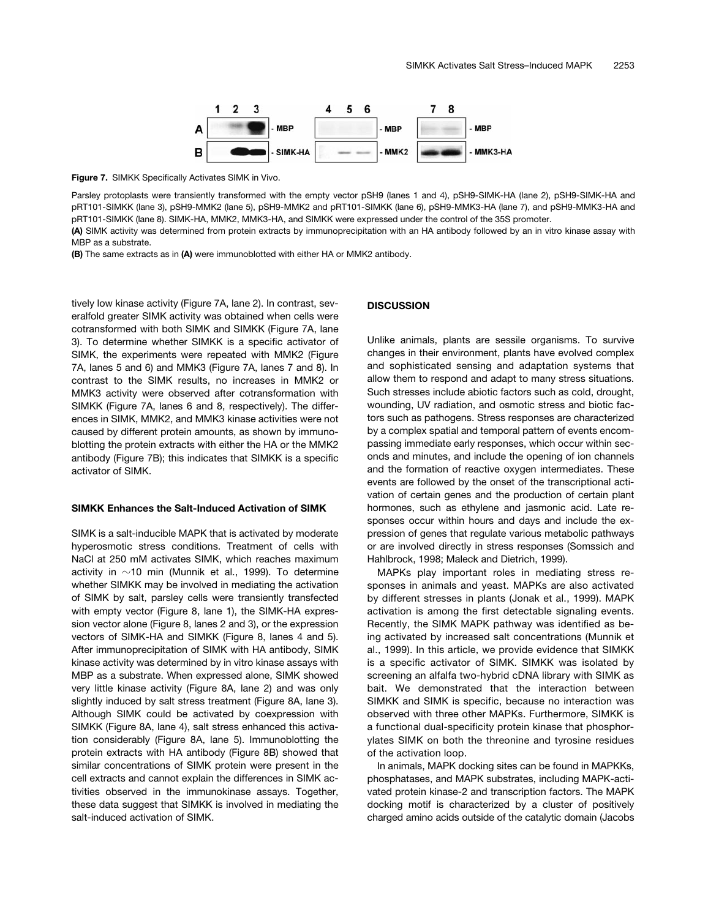

**Figure 7.** SIMKK Specifically Activates SIMK in Vivo.

Parsley protoplasts were transiently transformed with the empty vector pSH9 (lanes 1 and 4), pSH9-SIMK-HA (lane 2), pSH9-SIMK-HA and pRT101-SIMKK (lane 3), pSH9-MMK2 (lane 5), pSH9-MMK2 and pRT101-SIMKK (lane 6), pSH9-MMK3-HA (lane 7), and pSH9-MMK3-HA and pRT101-SIMKK (lane 8). SIMK-HA, MMK2, MMK3-HA, and SIMKK were expressed under the control of the 35S promoter.

**(A)** SIMK activity was determined from protein extracts by immunoprecipitation with an HA antibody followed by an in vitro kinase assay with MBP as a substrate.

**(B)** The same extracts as in **(A)** were immunoblotted with either HA or MMK2 antibody.

tively low kinase activity (Figure 7A, lane 2). In contrast, severalfold greater SIMK activity was obtained when cells were cotransformed with both SIMK and SIMKK (Figure 7A, lane 3). To determine whether SIMKK is a specific activator of SIMK, the experiments were repeated with MMK2 (Figure 7A, lanes 5 and 6) and MMK3 (Figure 7A, lanes 7 and 8). In contrast to the SIMK results, no increases in MMK2 or MMK3 activity were observed after cotransformation with SIMKK (Figure 7A, lanes 6 and 8, respectively). The differences in SIMK, MMK2, and MMK3 kinase activities were not caused by different protein amounts, as shown by immunoblotting the protein extracts with either the HA or the MMK2 antibody (Figure 7B); this indicates that SIMKK is a specific activator of SIMK.

#### **SIMKK Enhances the Salt-Induced Activation of SIMK**

SIMK is a salt-inducible MAPK that is activated by moderate hyperosmotic stress conditions. Treatment of cells with NaCl at 250 mM activates SIMK, which reaches maximum activity in  $\sim$ 10 min (Munnik et al., 1999). To determine whether SIMKK may be involved in mediating the activation of SIMK by salt, parsley cells were transiently transfected with empty vector (Figure 8, lane 1), the SIMK-HA expression vector alone (Figure 8, lanes 2 and 3), or the expression vectors of SIMK-HA and SIMKK (Figure 8, lanes 4 and 5). After immunoprecipitation of SIMK with HA antibody, SIMK kinase activity was determined by in vitro kinase assays with MBP as a substrate. When expressed alone, SIMK showed very little kinase activity (Figure 8A, lane 2) and was only slightly induced by salt stress treatment (Figure 8A, lane 3). Although SIMK could be activated by coexpression with SIMKK (Figure 8A, lane 4), salt stress enhanced this activation considerably (Figure 8A, lane 5). Immunoblotting the protein extracts with HA antibody (Figure 8B) showed that similar concentrations of SIMK protein were present in the cell extracts and cannot explain the differences in SIMK activities observed in the immunokinase assays. Together, these data suggest that SIMKK is involved in mediating the salt-induced activation of SIMK.

## **DISCUSSION**

Unlike animals, plants are sessile organisms. To survive changes in their environment, plants have evolved complex and sophisticated sensing and adaptation systems that allow them to respond and adapt to many stress situations. Such stresses include abiotic factors such as cold, drought, wounding, UV radiation, and osmotic stress and biotic factors such as pathogens. Stress responses are characterized by a complex spatial and temporal pattern of events encompassing immediate early responses, which occur within seconds and minutes, and include the opening of ion channels and the formation of reactive oxygen intermediates. These events are followed by the onset of the transcriptional activation of certain genes and the production of certain plant hormones, such as ethylene and jasmonic acid. Late responses occur within hours and days and include the expression of genes that regulate various metabolic pathways or are involved directly in stress responses (Somssich and Hahlbrock, 1998; Maleck and Dietrich, 1999).

MAPKs play important roles in mediating stress responses in animals and yeast. MAPKs are also activated by different stresses in plants (Jonak et al., 1999). MAPK activation is among the first detectable signaling events. Recently, the SIMK MAPK pathway was identified as being activated by increased salt concentrations (Munnik et al., 1999). In this article, we provide evidence that SIMKK is a specific activator of SIMK. SIMKK was isolated by screening an alfalfa two-hybrid cDNA library with SIMK as bait. We demonstrated that the interaction between SIMKK and SIMK is specific, because no interaction was observed with three other MAPKs. Furthermore, SIMKK is a functional dual-specificity protein kinase that phosphorylates SIMK on both the threonine and tyrosine residues of the activation loop.

In animals, MAPK docking sites can be found in MAPKKs, phosphatases, and MAPK substrates, including MAPK-activated protein kinase-2 and transcription factors. The MAPK docking motif is characterized by a cluster of positively charged amino acids outside of the catalytic domain (Jacobs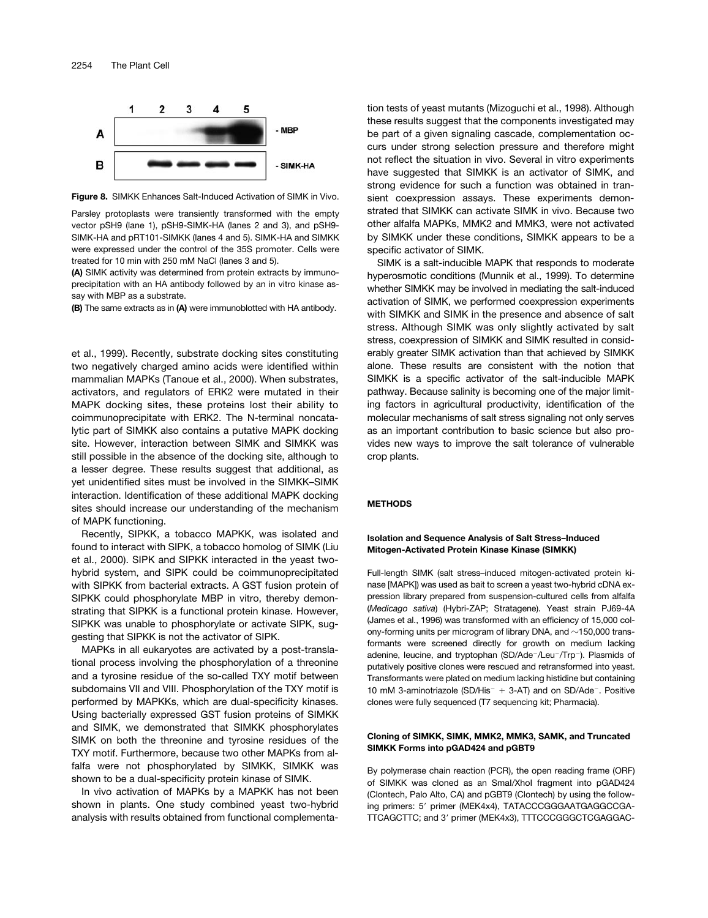

**Figure 8.** SIMKK Enhances Salt-Induced Activation of SIMK in Vivo.

Parsley protoplasts were transiently transformed with the empty vector pSH9 (lane 1), pSH9-SIMK-HA (lanes 2 and 3), and pSH9- SIMK-HA and pRT101-SIMKK (lanes 4 and 5). SIMK-HA and SIMKK were expressed under the control of the 35S promoter. Cells were treated for 10 min with 250 mM NaCl (lanes 3 and 5).

**(A)** SIMK activity was determined from protein extracts by immunoprecipitation with an HA antibody followed by an in vitro kinase assay with MBP as a substrate.

**(B)** The same extracts as in **(A)** were immunoblotted with HA antibody.

et al., 1999). Recently, substrate docking sites constituting two negatively charged amino acids were identified within mammalian MAPKs (Tanoue et al., 2000). When substrates, activators, and regulators of ERK2 were mutated in their MAPK docking sites, these proteins lost their ability to coimmunoprecipitate with ERK2. The N-terminal noncatalytic part of SIMKK also contains a putative MAPK docking site. However, interaction between SIMK and SIMKK was still possible in the absence of the docking site, although to a lesser degree. These results suggest that additional, as yet unidentified sites must be involved in the SIMKK–SIMK interaction. Identification of these additional MAPK docking sites should increase our understanding of the mechanism of MAPK functioning.

Recently, SIPKK, a tobacco MAPKK, was isolated and found to interact with SIPK, a tobacco homolog of SIMK (Liu et al., 2000). SIPK and SIPKK interacted in the yeast twohybrid system, and SIPK could be coimmunoprecipitated with SIPKK from bacterial extracts. A GST fusion protein of SIPKK could phosphorylate MBP in vitro, thereby demonstrating that SIPKK is a functional protein kinase. However, SIPKK was unable to phosphorylate or activate SIPK, suggesting that SIPKK is not the activator of SIPK.

MAPKs in all eukaryotes are activated by a post-translational process involving the phosphorylation of a threonine and a tyrosine residue of the so-called TXY motif between subdomains VII and VIII. Phosphorylation of the TXY motif is performed by MAPKKs, which are dual-specificity kinases. Using bacterially expressed GST fusion proteins of SIMKK and SIMK, we demonstrated that SIMKK phosphorylates SIMK on both the threonine and tyrosine residues of the TXY motif. Furthermore, because two other MAPKs from alfalfa were not phosphorylated by SIMKK, SIMKK was shown to be a dual-specificity protein kinase of SIMK.

In vivo activation of MAPKs by a MAPKK has not been shown in plants. One study combined yeast two-hybrid analysis with results obtained from functional complementation tests of yeast mutants (Mizoguchi et al., 1998). Although these results suggest that the components investigated may be part of a given signaling cascade, complementation occurs under strong selection pressure and therefore might not reflect the situation in vivo. Several in vitro experiments have suggested that SIMKK is an activator of SIMK, and strong evidence for such a function was obtained in transient coexpression assays. These experiments demonstrated that SIMKK can activate SIMK in vivo. Because two other alfalfa MAPKs, MMK2 and MMK3, were not activated by SIMKK under these conditions, SIMKK appears to be a specific activator of SIMK.

SIMK is a salt-inducible MAPK that responds to moderate hyperosmotic conditions (Munnik et al., 1999). To determine whether SIMKK may be involved in mediating the salt-induced activation of SIMK, we performed coexpression experiments with SIMKK and SIMK in the presence and absence of salt stress. Although SIMK was only slightly activated by salt stress, coexpression of SIMKK and SIMK resulted in considerably greater SIMK activation than that achieved by SIMKK alone. These results are consistent with the notion that SIMKK is a specific activator of the salt-inducible MAPK pathway. Because salinity is becoming one of the major limiting factors in agricultural productivity, identification of the molecular mechanisms of salt stress signaling not only serves as an important contribution to basic science but also provides new ways to improve the salt tolerance of vulnerable crop plants.

#### **METHODS**

#### **Isolation and Sequence Analysis of Salt Stress–Induced Mitogen-Activated Protein Kinase Kinase (SIMKK)**

Full-length SIMK (salt stress–induced mitogen-activated protein kinase [MAPK]) was used as bait to screen a yeast two-hybrid cDNA expression library prepared from suspension-cultured cells from alfalfa (*Medicago sativa*) (Hybri-ZAP; Stratagene). Yeast strain PJ69-4A (James et al., 1996) was transformed with an efficiency of 15,000 colony-forming units per microgram of library DNA, and  $\sim$ 150,000 transformants were screened directly for growth on medium lacking adenine, leucine, and tryptophan (SD/Ade<sup>-/</sup>Leu<sup>-/</sup>Trp<sup>-</sup>). Plasmids of putatively positive clones were rescued and retransformed into yeast. Transformants were plated on medium lacking histidine but containing 10 mM 3-aminotriazole (SD/His<sup>-</sup>  $+$  3-AT) and on SD/Ade<sup>-</sup>. Positive clones were fully sequenced (T7 sequencing kit; Pharmacia).

#### **Cloning of SIMKK, SIMK, MMK2, MMK3, SAMK, and Truncated SIMKK Forms into pGAD424 and pGBT9**

By polymerase chain reaction (PCR), the open reading frame (ORF) of SIMKK was cloned as an SmaI/XhoI fragment into pGAD424 (Clontech, Palo Alto, CA) and pGBT9 (Clontech) by using the following primers: 5' primer (MEK4x4), TATACCCGGGAATGAGGCCGA-TTCAGCTTC; and 3' primer (MEK4x3), TTTCCCGGGCTCGAGGAC-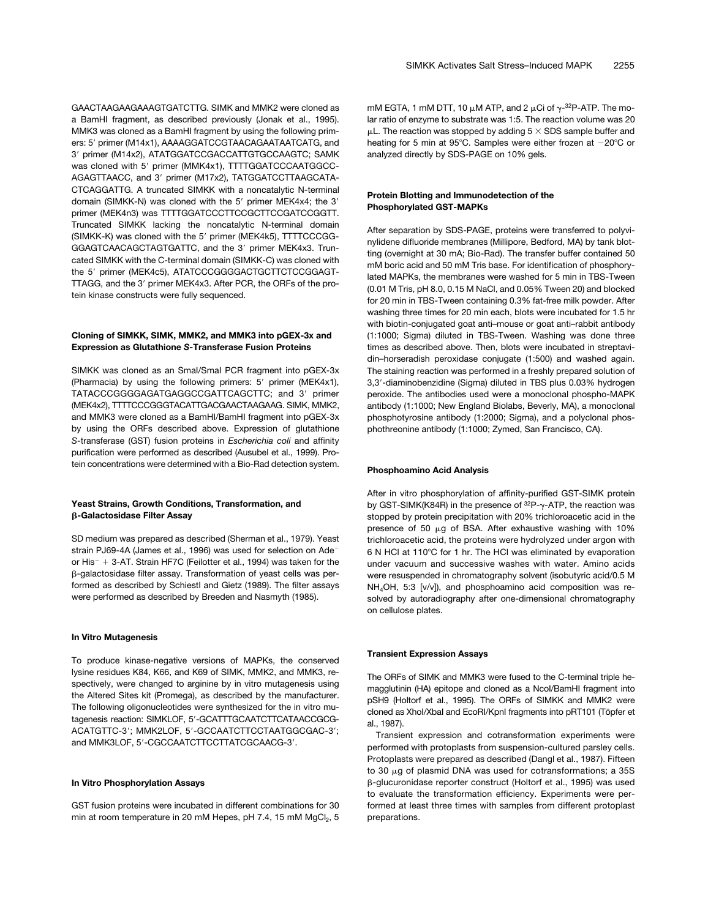GAACTAAGAAGAAAGTGATCTTG. SIMK and MMK2 were cloned as a BamHI fragment, as described previously (Jonak et al., 1995). MMK3 was cloned as a BamHI fragment by using the following primers: 5' primer (M14x1), AAAAGGATCCGTAACAGAATAATCATG, and 3' primer (M14x2), ATATGGATCCGACCATTGTGCCAAGTC; SAMK was cloned with 5' primer (MMK4x1), TTTTGGATCCCAATGGCC-AGAGTTAACC, and 3' primer (M17x2), TATGGATCCTTAAGCATA-CTCAGGATTG. A truncated SIMKK with a noncatalytic N-terminal domain (SIMKK-N) was cloned with the 5' primer MEK4x4; the 3' primer (MEK4n3) was TTTTGGATCCCTTCCGCTTCCGATCCGGTT. Truncated SIMKK lacking the noncatalytic N-terminal domain (SIMKK-K) was cloned with the 5' primer (MEK4k5), TTTTCCCGG-GGAGTCAACAGCTAGTGATTC, and the 3' primer MEK4x3. Truncated SIMKK with the C-terminal domain (SIMKK-C) was cloned with the 5' primer (MEK4c5), ATATCCCGGGGACTGCTTCTCCGGAGT-TTAGG, and the 3' primer MEK4x3. After PCR, the ORFs of the protein kinase constructs were fully sequenced.

#### **Cloning of SIMKK, SIMK, MMK2, and MMK3 into pGEX-3x and Expression as Glutathione** *S***-Transferase Fusion Proteins**

SIMKK was cloned as an SmaI/SmaI PCR fragment into pGEX-3x (Pharmacia) by using the following primers: 5' primer (MEK4x1), TATACCCGGGGAGATGAGGCCGATTCAGCTTC; and 3' primer (MEK4x2), TTTTCCCGGGTACATTGACGAACTAAGAAG. SIMK, MMK2, and MMK3 were cloned as a BamHI/BamHI fragment into pGEX-3x by using the ORFs described above. Expression of glutathione *S*-transferase (GST) fusion proteins in *Escherichia coli* and affinity purification were performed as described (Ausubel et al., 1999). Protein concentrations were determined with a Bio-Rad detection system.

#### **Yeast Strains, Growth Conditions, Transformation, and** b**-Galactosidase Filter Assay**

SD medium was prepared as described (Sherman et al., 1979). Yeast strain PJ69-4A (James et al., 1996) was used for selection on Ade<sup>-</sup> or His<sup>-</sup> + 3-AT. Strain HF7C (Feilotter et al., 1994) was taken for the b-galactosidase filter assay. Transformation of yeast cells was performed as described by Schiestl and Gietz (1989). The filter assays were performed as described by Breeden and Nasmyth (1985).

#### **In Vitro Mutagenesis**

To produce kinase-negative versions of MAPKs, the conserved lysine residues K84, K66, and K69 of SIMK, MMK2, and MMK3, respectively, were changed to arginine by in vitro mutagenesis using the Altered Sites kit (Promega), as described by the manufacturer. The following oligonucleotides were synthesized for the in vitro mutagenesis reaction: SIMKLOF, 5'-GCATTTGCAATCTTCATAACCGCG-ACATGTTC-3'; MMK2LOF, 5'-GCCAATCTTCCTAATGGCGAC-3'; and MMK3LOF, 5'-CGCCAATCTTCCTTATCGCAACG-3'.

#### **In Vitro Phosphorylation Assays**

GST fusion proteins were incubated in different combinations for 30 min at room temperature in 20 mM Hepes, pH 7.4, 15 mM MgCl<sub>2</sub>, 5 mM EGTA, 1 mM DTT, 10  $\mu$ M ATP, and 2  $\mu$ Ci of  $\gamma$ -<sup>32</sup>P-ATP. The molar ratio of enzyme to substrate was 1:5. The reaction volume was 20  $\mu$ L. The reaction was stopped by adding 5  $\times$  SDS sample buffer and heating for 5 min at 95°C. Samples were either frozen at  $-20^{\circ}$ C or analyzed directly by SDS-PAGE on 10% gels.

#### **Protein Blotting and Immunodetection of the Phosphorylated GST-MAPKs**

After separation by SDS-PAGE, proteins were transferred to polyvinylidene difluoride membranes (Millipore, Bedford, MA) by tank blotting (overnight at 30 mA; Bio-Rad). The transfer buffer contained 50 mM boric acid and 50 mM Tris base. For identification of phosphorylated MAPKs, the membranes were washed for 5 min in TBS-Tween (0.01 M Tris, pH 8.0, 0.15 M NaCl, and 0.05% Tween 20) and blocked for 20 min in TBS-Tween containing 0.3% fat-free milk powder. After washing three times for 20 min each, blots were incubated for 1.5 hr with biotin-conjugated goat anti–mouse or goat anti–rabbit antibody (1:1000; Sigma) diluted in TBS-Tween. Washing was done three times as described above. Then, blots were incubated in streptavidin–horseradish peroxidase conjugate (1:500) and washed again. The staining reaction was performed in a freshly prepared solution of 3,3'-diaminobenzidine (Sigma) diluted in TBS plus 0.03% hydrogen peroxide. The antibodies used were a monoclonal phospho-MAPK antibody (1:1000; New England Biolabs, Beverly, MA), a monoclonal phosphotyrosine antibody (1:2000; Sigma), and a polyclonal phosphothreonine antibody (1:1000; Zymed, San Francisco, CA).

#### **Phosphoamino Acid Analysis**

After in vitro phosphorylation of affinity-purified GST-SIMK protein by GST-SIMK(K84R) in the presence of  $32P-\gamma$ -ATP, the reaction was stopped by protein precipitation with 20% trichloroacetic acid in the presence of 50  $\mu$ g of BSA. After exhaustive washing with 10% trichloroacetic acid, the proteins were hydrolyzed under argon with 6 N HCl at 110°C for 1 hr. The HCl was eliminated by evaporation under vacuum and successive washes with water. Amino acids were resuspended in chromatography solvent (isobutyric acid/0.5 M NH4OH, 5:3 [v/v]), and phosphoamino acid composition was resolved by autoradiography after one-dimensional chromatography on cellulose plates.

#### **Transient Expression Assays**

The ORFs of SIMK and MMK3 were fused to the C-terminal triple hemagglutinin (HA) epitope and cloned as a NcoI/BamHI fragment into pSH9 (Holtorf et al., 1995). The ORFs of SIMKK and MMK2 were cloned as XhoI/XbaI and EcoRI/KpnI fragments into pRT101 (Töpfer et al., 1987).

Transient expression and cotransformation experiments were performed with protoplasts from suspension-cultured parsley cells. Protoplasts were prepared as described (Dangl et al., 1987). Fifteen to 30  $\mu$ g of plasmid DNA was used for cotransformations; a 35S b-glucuronidase reporter construct (Holtorf et al., 1995) was used to evaluate the transformation efficiency. Experiments were performed at least three times with samples from different protoplast preparations.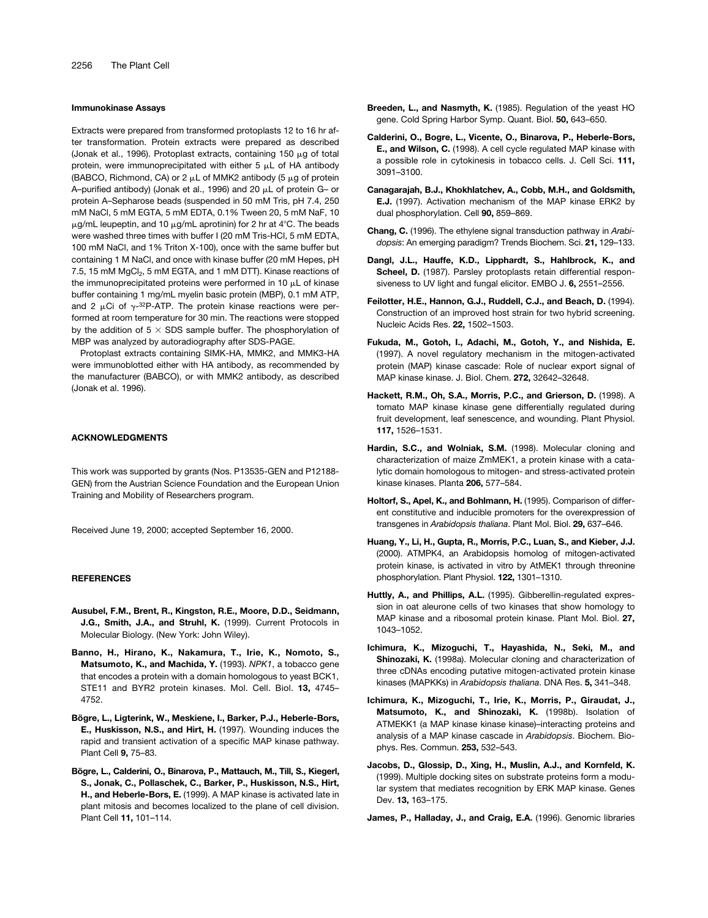#### **Immunokinase Assays**

Extracts were prepared from transformed protoplasts 12 to 16 hr after transformation. Protein extracts were prepared as described (Jonak et al., 1996). Protoplast extracts, containing 150  $\mu$ g of total protein, were immunoprecipitated with either 5  $\mu$ L of HA antibody (BABCO, Richmond, CA) or 2  $\mu$ L of MMK2 antibody (5  $\mu$ g of protein A-purified antibody) (Jonak et al., 1996) and 20  $\mu$ L of protein G- or protein A–Sepharose beads (suspended in 50 mM Tris, pH 7.4, 250 mM NaCl, 5 mM EGTA, 5 mM EDTA, 0.1% Tween 20, 5 mM NaF, 10  $\mu$ g/mL leupeptin, and 10  $\mu$ g/mL aprotinin) for 2 hr at 4°C. The beads were washed three times with buffer I (20 mM Tris-HCl, 5 mM EDTA, 100 mM NaCl, and 1% Triton X-100), once with the same buffer but containing 1 M NaCl, and once with kinase buffer (20 mM Hepes, pH 7.5, 15 mM MgCl<sub>2</sub>, 5 mM EGTA, and 1 mM DTT). Kinase reactions of the immunoprecipitated proteins were performed in 10  $\mu$ L of kinase buffer containing 1 mg/mL myelin basic protein (MBP), 0.1 mM ATP, and 2  $\mu$ Ci of  $\gamma$ -32P-ATP. The protein kinase reactions were performed at room temperature for 30 min. The reactions were stopped by the addition of 5  $\times$  SDS sample buffer. The phosphorylation of MBP was analyzed by autoradiography after SDS-PAGE.

Protoplast extracts containing SIMK-HA, MMK2, and MMK3-HA were immunoblotted either with HA antibody, as recommended by the manufacturer (BABCO), or with MMK2 antibody, as described (Jonak et al. 1996).

#### **ACKNOWLEDGMENTS**

This work was supported by grants (Nos. P13535-GEN and P12188- GEN) from the Austrian Science Foundation and the European Union Training and Mobility of Researchers program.

Received June 19, 2000; accepted September 16, 2000.

#### **REFERENCES**

- **Ausubel, F.M., Brent, R., Kingston, R.E., Moore, D.D., Seidmann, J.G., Smith, J.A., and Struhl, K.** (1999). Current Protocols in Molecular Biology. (New York: John Wiley).
- **Banno, H., Hirano, K., Nakamura, T., Irie, K., Nomoto, S., Matsumoto, K., and Machida, Y.** (1993). *NPK1*, a tobacco gene that encodes a protein with a domain homologous to yeast BCK1, STE11 and BYR2 protein kinases. Mol. Cell. Biol. **13,** 4745– 4752.
- **Bögre, L., Ligterink, W., Meskiene, I., Barker, P.J., Heberle-Bors, E., Huskisson, N.S., and Hirt, H.** (1997). Wounding induces the rapid and transient activation of a specific MAP kinase pathway. Plant Cell **9,** 75–83.
- **Bögre, L., Calderini, O., Binarova, P., Mattauch, M., Till, S., Kiegerl, S., Jonak, C., Pollaschek, C., Barker, P., Huskisson, N.S., Hirt, H., and Heberle-Bors, E.** (1999). A MAP kinase is activated late in plant mitosis and becomes localized to the plane of cell division. Plant Cell **11,** 101–114.
- **Breeden, L., and Nasmyth, K.** (1985). Regulation of the yeast HO gene. Cold Spring Harbor Symp. Quant. Biol. **50,** 643–650.
- **Calderini, O., Bogre, L., Vicente, O., Binarova, P., Heberle-Bors, E., and Wilson, C.** (1998). A cell cycle regulated MAP kinase with a possible role in cytokinesis in tobacco cells. J. Cell Sci. **111,** 3091–3100.
- **Canagarajah, B.J., Khokhlatchev, A., Cobb, M.H., and Goldsmith, E.J.** (1997). Activation mechanism of the MAP kinase ERK2 by dual phosphorylation. Cell **90,** 859–869.
- **Chang, C.** (1996). The ethylene signal transduction pathway in *Arabidopsis*: An emerging paradigm? Trends Biochem. Sci. **21,** 129–133.
- **Dangl, J.L., Hauffe, K.D., Lipphardt, S., Hahlbrock, K., and** Scheel, D. (1987). Parsley protoplasts retain differential responsiveness to UV light and fungal elicitor. EMBO J. **6,** 2551–2556.
- **Feilotter, H.E., Hannon, G.J., Ruddell, C.J., and Beach, D.** (1994). Construction of an improved host strain for two hybrid screening. Nucleic Acids Res. **22,** 1502–1503.
- **Fukuda, M., Gotoh, I., Adachi, M., Gotoh, Y., and Nishida, E.** (1997). A novel regulatory mechanism in the mitogen-activated protein (MAP) kinase cascade: Role of nuclear export signal of MAP kinase kinase. J. Biol. Chem. **272,** 32642–32648.
- **Hackett, R.M., Oh, S.A., Morris, P.C., and Grierson, D.** (1998). A tomato MAP kinase kinase gene differentially regulated during fruit development, leaf senescence, and wounding. Plant Physiol. **117,** 1526–1531.
- **Hardin, S.C., and Wolniak, S.M.** (1998). Molecular cloning and characterization of maize ZmMEK1, a protein kinase with a catalytic domain homologous to mitogen- and stress-activated protein kinase kinases. Planta **206,** 577–584.
- **Holtorf, S., Apel, K., and Bohlmann, H.** (1995). Comparison of different constitutive and inducible promoters for the overexpression of transgenes in *Arabidopsis thaliana*. Plant Mol. Biol. **29,** 637–646.
- **Huang, Y., Li, H., Gupta, R., Morris, P.C., Luan, S., and Kieber, J.J.** (2000). ATMPK4, an Arabidopsis homolog of mitogen-activated protein kinase, is activated in vitro by AtMEK1 through threonine phosphorylation. Plant Physiol. **122,** 1301–1310.
- **Huttly, A., and Phillips, A.L.** (1995). Gibberellin-regulated expression in oat aleurone cells of two kinases that show homology to MAP kinase and a ribosomal protein kinase. Plant Mol. Biol. **27,** 1043–1052.
- **Ichimura, K., Mizoguchi, T., Hayashida, N., Seki, M., and Shinozaki, K.** (1998a). Molecular cloning and characterization of three cDNAs encoding putative mitogen-activated protein kinase kinases (MAPKKs) in *Arabidopsis thaliana*. DNA Res. **5,** 341–348.
- **Ichimura, K., Mizoguchi, T., Irie, K., Morris, P., Giraudat, J., Matsumoto, K., and Shinozaki, K.** (1998b). Isolation of ATMEKK1 (a MAP kinase kinase kinase)–interacting proteins and analysis of a MAP kinase cascade in *Arabidopsis*. Biochem. Biophys. Res. Commun. **253,** 532–543.
- **Jacobs, D., Glossip, D., Xing, H., Muslin, A.J., and Kornfeld, K.** (1999). Multiple docking sites on substrate proteins form a modular system that mediates recognition by ERK MAP kinase. Genes Dev. **13,** 163–175.

**James, P., Halladay, J., and Craig, E.A.** (1996). Genomic libraries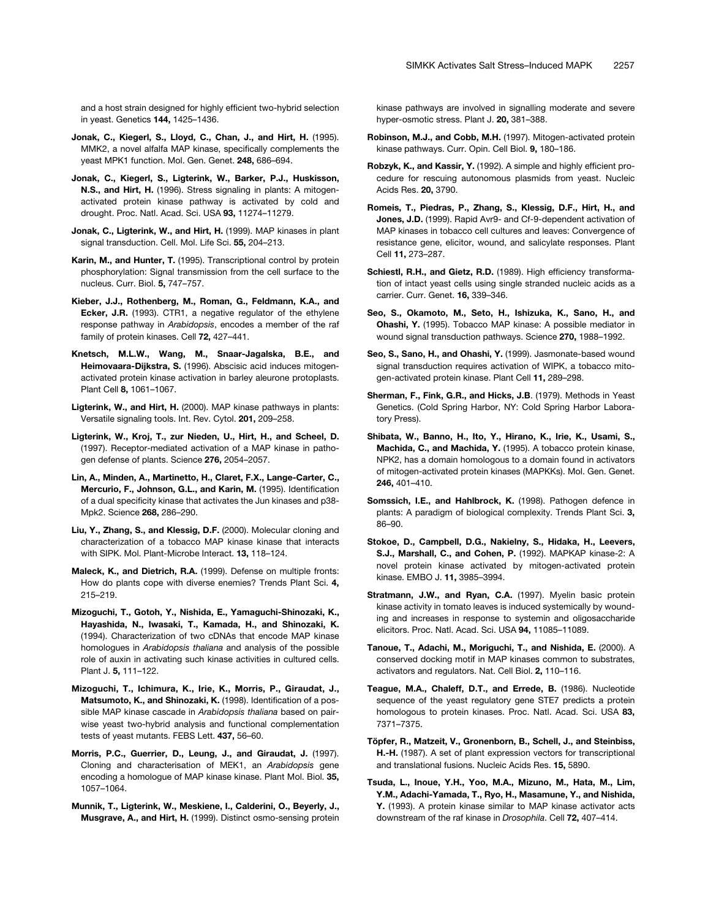and a host strain designed for highly efficient two-hybrid selection in yeast. Genetics **144,** 1425–1436.

- **Jonak, C., Kiegerl, S., Lloyd, C., Chan, J., and Hirt, H.** (1995). MMK2, a novel alfalfa MAP kinase, specifically complements the yeast MPK1 function. Mol. Gen. Genet. **248,** 686–694.
- **Jonak, C., Kiegerl, S., Ligterink, W., Barker, P.J., Huskisson, N.S., and Hirt, H.** (1996). Stress signaling in plants: A mitogenactivated protein kinase pathway is activated by cold and drought. Proc. Natl. Acad. Sci. USA **93,** 11274–11279.
- **Jonak, C., Ligterink, W., and Hirt, H.** (1999). MAP kinases in plant signal transduction. Cell. Mol. Life Sci. **55,** 204–213.
- **Karin, M., and Hunter, T.** (1995). Transcriptional control by protein phosphorylation: Signal transmission from the cell surface to the nucleus. Curr. Biol. **5,** 747–757.
- **Kieber, J.J., Rothenberg, M., Roman, G., Feldmann, K.A., and Ecker, J.R.** (1993). CTR1, a negative regulator of the ethylene response pathway in *Arabidopsis*, encodes a member of the raf family of protein kinases. Cell **72,** 427–441.
- **Knetsch, M.L.W., Wang, M., Snaar-Jagalska, B.E., and Heimovaara-Dijkstra, S.** (1996). Abscisic acid induces mitogenactivated protein kinase activation in barley aleurone protoplasts. Plant Cell **8,** 1061–1067.
- **Ligterink, W., and Hirt, H.** (2000). MAP kinase pathways in plants: Versatile signaling tools. Int. Rev. Cytol. **201,** 209–258.
- **Ligterink, W., Kroj, T., zur Nieden, U., Hirt, H., and Scheel, D.** (1997). Receptor-mediated activation of a MAP kinase in pathogen defense of plants. Science **276,** 2054–2057.
- **Lin, A., Minden, A., Martinetto, H., Claret, F.X., Lange-Carter, C., Mercurio, F., Johnson, G.L., and Karin, M.** (1995). Identification of a dual specificity kinase that activates the Jun kinases and p38- Mpk2. Science **268,** 286–290.
- **Liu, Y., Zhang, S., and Klessig, D.F.** (2000). Molecular cloning and characterization of a tobacco MAP kinase kinase that interacts with SIPK. Mol. Plant-Microbe Interact. **13,** 118–124.
- **Maleck, K., and Dietrich, R.A.** (1999). Defense on multiple fronts: How do plants cope with diverse enemies? Trends Plant Sci. **4,** 215–219.
- **Mizoguchi, T., Gotoh, Y., Nishida, E., Yamaguchi-Shinozaki, K., Hayashida, N., Iwasaki, T., Kamada, H., and Shinozaki, K.** (1994). Characterization of two cDNAs that encode MAP kinase homologues in *Arabidopsis thaliana* and analysis of the possible role of auxin in activating such kinase activities in cultured cells. Plant J. **5,** 111–122.
- **Mizoguchi, T., Ichimura, K., Irie, K., Morris, P., Giraudat, J., Matsumoto, K., and Shinozaki, K.** (1998). Identification of a possible MAP kinase cascade in *Arabidopsis thaliana* based on pairwise yeast two-hybrid analysis and functional complementation tests of yeast mutants. FEBS Lett. **437,** 56–60.
- **Morris, P.C., Guerrier, D., Leung, J., and Giraudat, J.** (1997). Cloning and characterisation of MEK1, an *Arabidopsis* gene encoding a homologue of MAP kinase kinase. Plant Mol. Biol. **35,** 1057–1064.
- **Munnik, T., Ligterink, W., Meskiene, I., Calderini, O., Beyerly, J., Musgrave, A., and Hirt, H.** (1999). Distinct osmo-sensing protein

kinase pathways are involved in signalling moderate and severe hyper-osmotic stress. Plant J. **20,** 381–388.

- **Robinson, M.J., and Cobb, M.H.** (1997). Mitogen-activated protein kinase pathways. Curr. Opin. Cell Biol. **9,** 180–186.
- **Robzyk, K., and Kassir, Y.** (1992). A simple and highly efficient procedure for rescuing autonomous plasmids from yeast. Nucleic Acids Res. **20,** 3790.
- **Romeis, T., Piedras, P., Zhang, S., Klessig, D.F., Hirt, H., and Jones, J.D.** (1999). Rapid Avr9- and Cf-9-dependent activation of MAP kinases in tobacco cell cultures and leaves: Convergence of resistance gene, elicitor, wound, and salicylate responses. Plant Cell **11,** 273–287.
- Schiestl, R.H., and Gietz, R.D. (1989). High efficiency transformation of intact yeast cells using single stranded nucleic acids as a carrier. Curr. Genet. **16,** 339–346.
- **Seo, S., Okamoto, M., Seto, H., Ishizuka, K., Sano, H., and Ohashi, Y.** (1995). Tobacco MAP kinase: A possible mediator in wound signal transduction pathways. Science **270,** 1988–1992.
- **Seo, S., Sano, H., and Ohashi, Y.** (1999). Jasmonate-based wound signal transduction requires activation of WIPK, a tobacco mitogen-activated protein kinase. Plant Cell **11,** 289–298.
- **Sherman, F., Fink, G.R., and Hicks, J.B**. (1979). Methods in Yeast Genetics. (Cold Spring Harbor, NY: Cold Spring Harbor Laboratory Press).
- **Shibata, W., Banno, H., Ito, Y., Hirano, K., Irie, K., Usami, S., Machida, C., and Machida, Y.** (1995). A tobacco protein kinase, NPK2, has a domain homologous to a domain found in activators of mitogen-activated protein kinases (MAPKKs). Mol. Gen. Genet. **246,** 401–410.
- **Somssich, I.E., and Hahlbrock, K.** (1998). Pathogen defence in plants: A paradigm of biological complexity. Trends Plant Sci. **3,** 86–90.
- **Stokoe, D., Campbell, D.G., Nakielny, S., Hidaka, H., Leevers, S.J., Marshall, C., and Cohen, P.** (1992). MAPKAP kinase-2: A novel protein kinase activated by mitogen-activated protein kinase. EMBO J. **11,** 3985–3994.
- **Stratmann, J.W., and Ryan, C.A.** (1997). Myelin basic protein kinase activity in tomato leaves is induced systemically by wounding and increases in response to systemin and oligosaccharide elicitors. Proc. Natl. Acad. Sci. USA **94,** 11085–11089.
- **Tanoue, T., Adachi, M., Moriguchi, T., and Nishida, E.** (2000). A conserved docking motif in MAP kinases common to substrates, activators and regulators. Nat. Cell Biol. **2,** 110–116.
- **Teague, M.A., Chaleff, D.T., and Errede, B.** (1986). Nucleotide sequence of the yeast regulatory gene STE7 predicts a protein homologous to protein kinases. Proc. Natl. Acad. Sci. USA **83,** 7371–7375.
- **Töpfer, R., Matzeit, V., Gronenborn, B., Schell, J., and Steinbiss, H.-H.** (1987). A set of plant expression vectors for transcriptional and translational fusions. Nucleic Acids Res. **15,** 5890.
- **Tsuda, L., Inoue, Y.H., Yoo, M.A., Mizuno, M., Hata, M., Lim, Y.M., Adachi-Yamada, T., Ryo, H., Masamune, Y., and Nishida, Y.** (1993). A protein kinase similar to MAP kinase activator acts downstream of the raf kinase in *Drosophila*. Cell **72,** 407–414.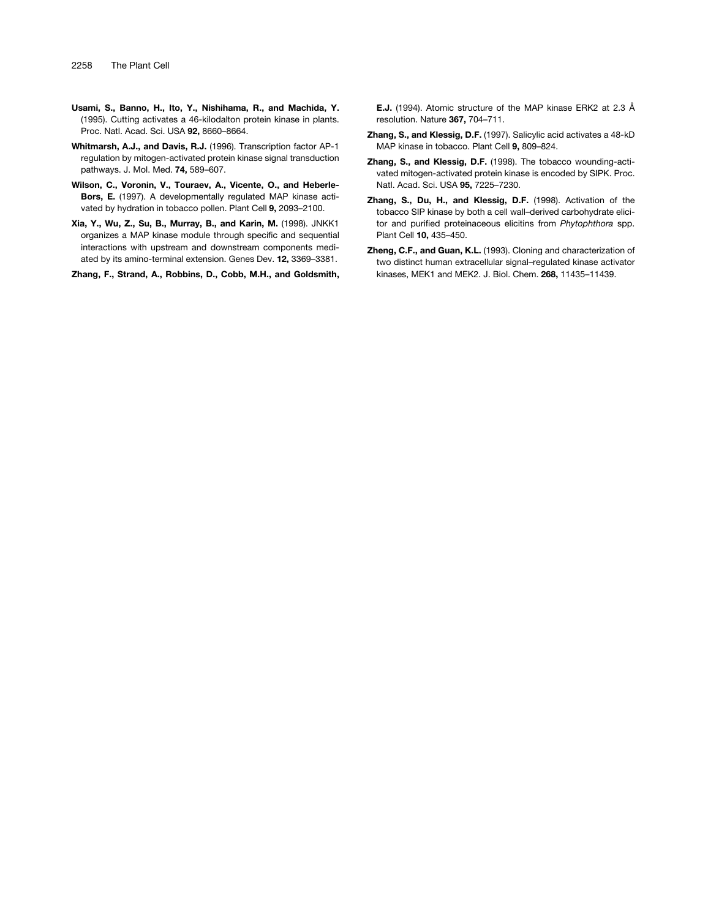- **Usami, S., Banno, H., Ito, Y., Nishihama, R., and Machida, Y.** (1995). Cutting activates a 46-kilodalton protein kinase in plants. Proc. Natl. Acad. Sci. USA **92,** 8660–8664.
- **Whitmarsh, A.J., and Davis, R.J.** (1996). Transcription factor AP-1 regulation by mitogen-activated protein kinase signal transduction pathways. J. Mol. Med. **74,** 589–607.
- **Wilson, C., Voronin, V., Touraev, A., Vicente, O., and Heberle-Bors, E.** (1997). A developmentally regulated MAP kinase activated by hydration in tobacco pollen. Plant Cell **9,** 2093–2100.
- **Xia, Y., Wu, Z., Su, B., Murray, B., and Karin, M.** (1998). JNKK1 organizes a MAP kinase module through specific and sequential interactions with upstream and downstream components mediated by its amino-terminal extension. Genes Dev. **12,** 3369–3381.

**Zhang, F., Strand, A., Robbins, D., Cobb, M.H., and Goldsmith,**

**E.J.** (1994). Atomic structure of the MAP kinase ERK2 at 2.3 Å resolution. Nature **367,** 704–711.

- **Zhang, S., and Klessig, D.F.** (1997). Salicylic acid activates a 48-kD MAP kinase in tobacco. Plant Cell **9,** 809–824.
- **Zhang, S., and Klessig, D.F.** (1998). The tobacco wounding-activated mitogen-activated protein kinase is encoded by SIPK. Proc. Natl. Acad. Sci. USA **95,** 7225–7230.
- **Zhang, S., Du, H., and Klessig, D.F.** (1998). Activation of the tobacco SIP kinase by both a cell wall–derived carbohydrate elicitor and purified proteinaceous elicitins from *Phytophthora* spp. Plant Cell **10,** 435–450.
- **Zheng, C.F., and Guan, K.L.** (1993). Cloning and characterization of two distinct human extracellular signal–regulated kinase activator kinases, MEK1 and MEK2. J. Biol. Chem. **268,** 11435–11439.